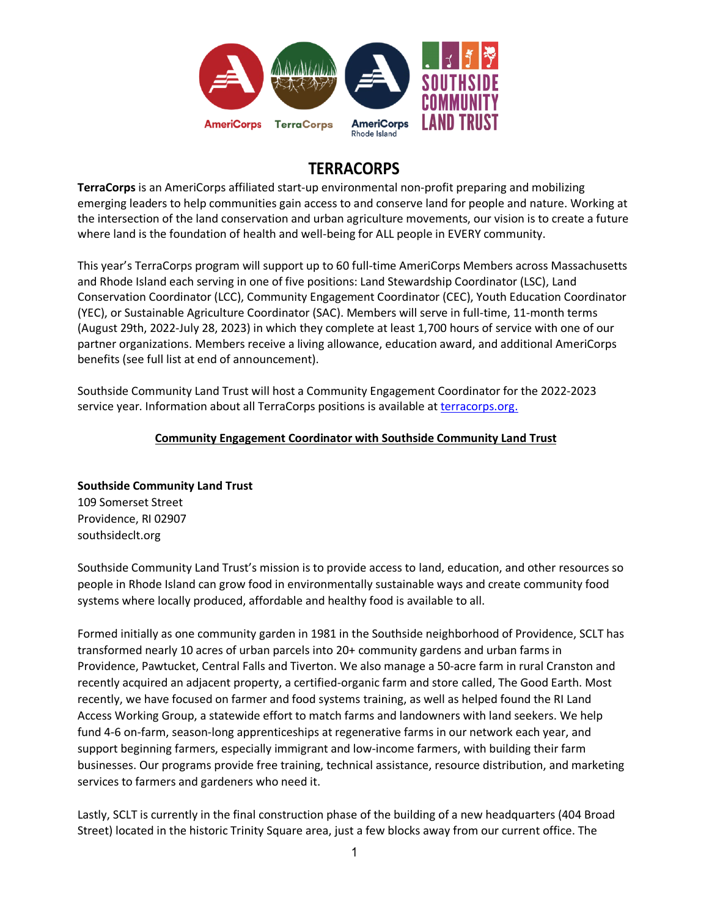

# **TERRACORPS**

**TerraCorps** is an AmeriCorps affiliated start-up environmental non-profit preparing and mobilizing emerging leaders to help communities gain access to and conserve land for people and nature. Working at the intersection of the land conservation and urban agriculture movements, our vision is to create a future where land is the foundation of health and well-being for ALL people in EVERY community.

This year's TerraCorps program will support up to 60 full-time AmeriCorps Members across Massachusetts and Rhode Island each serving in one of five positions: Land Stewardship Coordinator (LSC), Land Conservation Coordinator (LCC), Community Engagement Coordinator (CEC), Youth Education Coordinator (YEC), or Sustainable Agriculture Coordinator (SAC). Members will serve in full-time, 11-month terms (August 29th, 2022-July 28, 2023) in which they complete at least 1,700 hours of service with one of our partner organizations. Members receive a living allowance, education award, and additional AmeriCorps benefits (see full list at end of announcement).

Southside Community Land Trust will host a Community Engagement Coordinator for the 2022-2023 service year. Information about all TerraCorps positions is available a[t terracorps.org.](https://terracorps.org/)

## **Community Engagement Coordinator with Southside Community Land Trust**

**Southside Community Land Trust** 109 Somerset Street Providence, RI 02907 southsideclt.org

Southside Community Land Trust's mission is to provide access to land, education, and other resources so people in Rhode Island can grow food in environmentally sustainable ways and create community food systems where locally produced, affordable and healthy food is available to all.

Formed initially as one community garden in 1981 in the Southside neighborhood of Providence, SCLT has transformed nearly 10 acres of urban parcels into 20+ community gardens and urban farms in Providence, Pawtucket, Central Falls and Tiverton. We also manage a 50-acre farm in rural Cranston and recently acquired an adjacent property, a certified-organic farm and store called, The Good Earth. Most recently, we have focused on farmer and food systems training, as well as helped found the RI Land Access Working Group, a statewide effort to match farms and landowners with land seekers. We help fund 4-6 on-farm, season-long apprenticeships at regenerative farms in our network each year, and support beginning farmers, especially immigrant and low-income farmers, with building their farm businesses. Our programs provide free training, technical assistance, resource distribution, and marketing services to farmers and gardeners who need it.

Lastly, SCLT is currently in the final construction phase of the building of a new headquarters (404 Broad Street) located in the historic Trinity Square area, just a few blocks away from our current office. The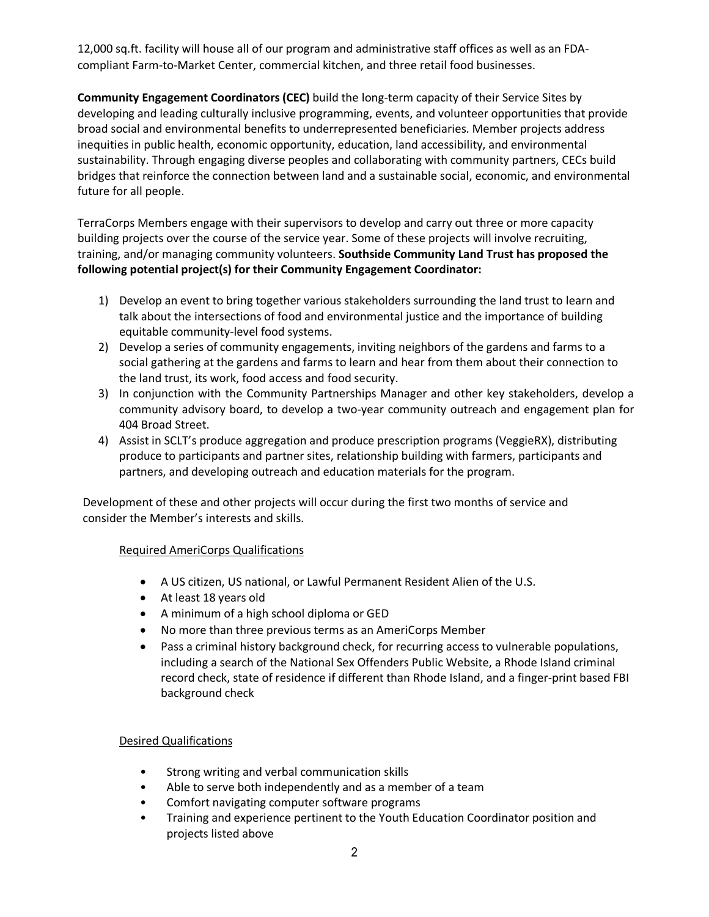12,000 sq.ft. facility will house all of our program and administrative staff offices as well as an FDAcompliant Farm-to-Market Center, commercial kitchen, and three retail food businesses.

**Community Engagement Coordinators (CEC)** build the long-term capacity of their Service Sites by developing and leading culturally inclusive programming, events, and volunteer opportunities that provide broad social and environmental benefits to underrepresented beneficiaries. Member projects address inequities in public health, economic opportunity, education, land accessibility, and environmental sustainability. Through engaging diverse peoples and collaborating with community partners, CECs build bridges that reinforce the connection between land and a sustainable social, economic, and environmental future for all people.

TerraCorps Members engage with their supervisors to develop and carry out three or more capacity building projects over the course of the service year. Some of these projects will involve recruiting, training, and/or managing community volunteers. **Southside Community Land Trust has proposed the following potential project(s) for their Community Engagement Coordinator:**

- 1) Develop an event to bring together various stakeholders surrounding the land trust to learn and talk about the intersections of food and environmental justice and the importance of building equitable community-level food systems.
- 2) Develop a series of community engagements, inviting neighbors of the gardens and farms to a social gathering at the gardens and farms to learn and hear from them about their connection to the land trust, its work, food access and food security.
- 3) In conjunction with the Community Partnerships Manager and other key stakeholders, develop a community advisory board, to develop a two-year community outreach and engagement plan for 404 Broad Street.
- 4) Assist in SCLT's produce aggregation and produce prescription programs (VeggieRX), distributing produce to participants and partner sites, relationship building with farmers, participants and partners, and developing outreach and education materials for the program.

Development of these and other projects will occur during the first two months of service and consider the Member's interests and skills.

## Required AmeriCorps Qualifications

- A US citizen, US national, or Lawful Permanent Resident Alien of the U.S.
- At least 18 years old
- A minimum of a high school diploma or GED
- No more than three previous terms as an AmeriCorps Member
- Pass a criminal history background check, for recurring access to vulnerable populations, including a search of the National Sex Offenders Public Website, a Rhode Island criminal record check, state of residence if different than Rhode Island, and a finger-print based FBI background check

#### Desired Qualifications

- Strong writing and verbal communication skills
- Able to serve both independently and as a member of a team
- Comfort navigating computer software programs
- Training and experience pertinent to the Youth Education Coordinator position and projects listed above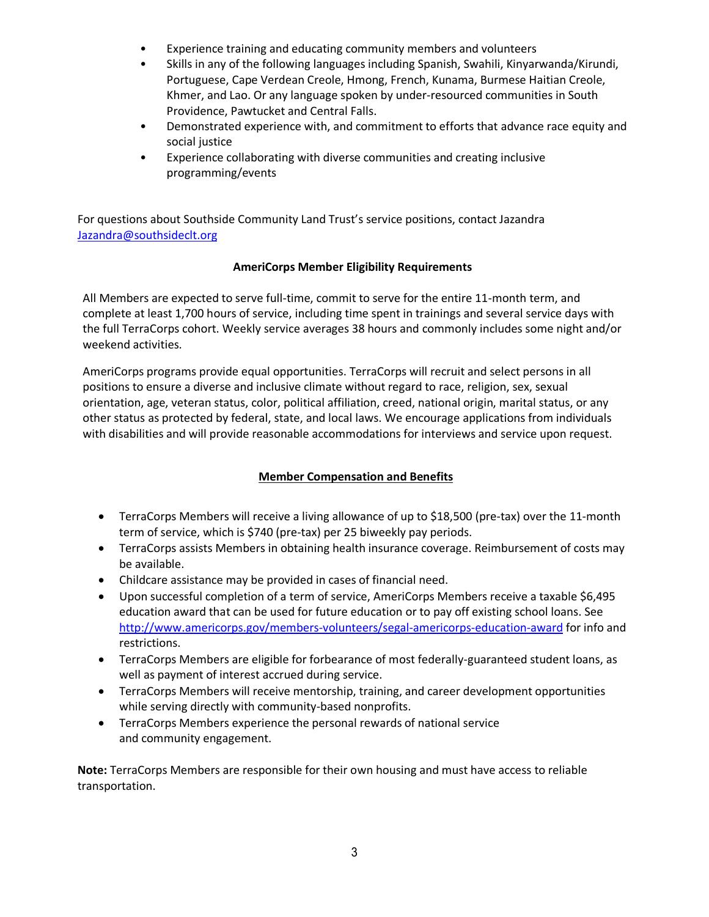- Experience training and educating community members and volunteers
- Skills in any of the following languages including Spanish, Swahili, Kinyarwanda/Kirundi, Portuguese, Cape Verdean Creole, Hmong, French, Kunama, Burmese Haitian Creole, Khmer, and Lao. Or any language spoken by under-resourced communities in South Providence, Pawtucket and Central Falls.
- Demonstrated experience with, and commitment to efforts that advance race equity and social justice
- Experience collaborating with diverse communities and creating inclusive programming/events

For questions about Southside Community Land Trust's service positions, contact Jazandra [Jazandra@southsideclt.org](mailto:Jazandra@southsideclt.org)

## **AmeriCorps Member Eligibility Requirements**

All Members are expected to serve full-time, commit to serve for the entire 11-month term, and complete at least 1,700 hours of service, including time spent in trainings and several service days with the full TerraCorps cohort. Weekly service averages 38 hours and commonly includes some night and/or weekend activities.

AmeriCorps programs provide equal opportunities. TerraCorps will recruit and select persons in all positions to ensure a diverse and inclusive climate without regard to race, religion, sex, sexual orientation, age, veteran status, color, political affiliation, creed, national origin, marital status, or any other status as protected by federal, state, and local laws. We encourage applications from individuals with disabilities and will provide reasonable accommodations for interviews and service upon request.

## **Member Compensation and Benefits**

- TerraCorps Members will receive a living allowance of up to \$18,500 (pre-tax) over the 11-month term of service, which is \$740 (pre-tax) per 25 biweekly pay periods.
- TerraCorps assists Members in obtaining health insurance coverage. Reimbursement of costs may be available.
- Childcare assistance may be provided in cases of financial need.
- Upon successful completion of a term of service, AmeriCorps Members receive a taxable \$6,495 education award that can be used for future education or to pay off existing school loans. See <http://www.americorps.gov/members-volunteers/segal-americorps-education-award> for info and restrictions.
- TerraCorps Members are eligible for forbearance of most federally-guaranteed student loans, as well as payment of interest accrued during service.
- TerraCorps Members will receive mentorship, training, and career development opportunities while serving directly with community-based nonprofits.
- TerraCorps Members experience the personal rewards of national service and community engagement.

**Note:** TerraCorps Members are responsible for their own housing and must have access to reliable transportation.